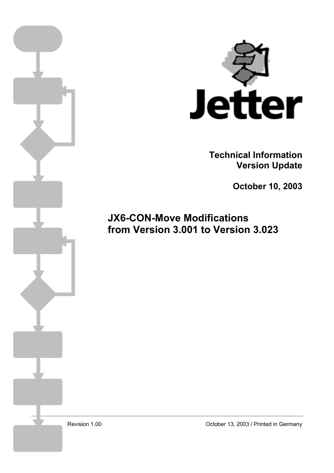

**Technical Information Version Update** 

**October 10, 2003** 

**JX6-CON-Move Modifications from Version 3.001 to Version 3.023**

Revision 1.00

October 13, 2003 / Printed in Germany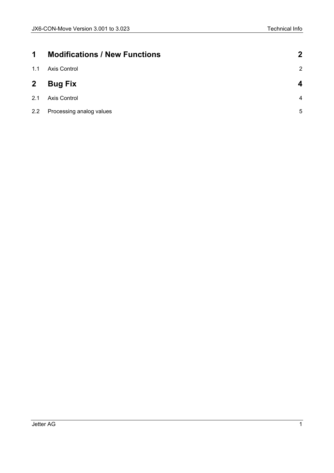| $\blacktriangleleft$ | <b>Modifications / New Functions</b> | $\mathbf 2$    |
|----------------------|--------------------------------------|----------------|
| 1.1                  | Axis Control                         | $\overline{2}$ |
| $\mathbf{2}$         | <b>Bug Fix</b>                       | Δ              |
| 2.1                  | Axis Control                         | $\overline{4}$ |
| $2.2^{\circ}$        | Processing analog values             | 5              |
|                      |                                      |                |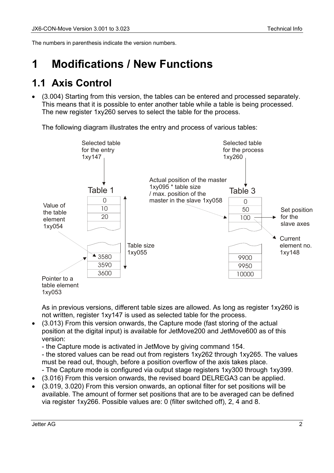<span id="page-2-0"></span>The numbers in parenthesis indicate the version numbers.

# **1 Modifications / New Functions**

#### **1.1 Axis Control**

• (3.004) Starting from this version, the tables can be entered and processed separately. This means that it is possible to enter another table while a table is being processed. The new register 1xy260 serves to select the table for the process.

The following diagram illustrates the entry and process of various tables:



As in previous versions, different table sizes are allowed. As long as register 1xy260 is not written, register 1xy147 is used as selected table for the process.

• (3.013) From this version onwards, the Capture mode (fast storing of the actual position at the digital input) is available for JetMove200 and JetMove600 as of this version:

- the Capture mode is activated in JetMove by giving command 154.

- the stored values can be read out from registers 1xy262 through 1xy265. The values must be read out, though, before a position overflow of the axis takes place.

- The Capture mode is configured via output stage registers 1xy300 through 1xy399.
- (3.016) From this version onwards, the revised board DELREGA3 can be applied.
- (3.019, 3.020) From this version onwards, an optional filter for set positions will be available. The amount of former set positions that are to be averaged can be defined via register 1xy266. Possible values are: 0 (filter switched off), 2, 4 and 8.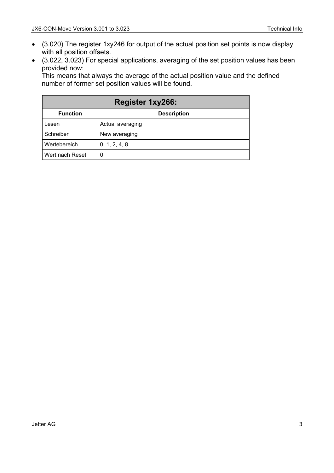- (3.020) The register 1xy246 for output of the actual position set points is now display with all position offsets.
- (3.022, 3.023) For special applications, averaging of the set position values has been provided now:

This means that always the average of the actual position value and the defined number of former set position values will be found.

| <b>Register 1xy266:</b> |                    |  |  |
|-------------------------|--------------------|--|--|
| <b>Function</b>         | <b>Description</b> |  |  |
| Lesen                   | Actual averaging   |  |  |
| Schreiben               | New averaging      |  |  |
| Wertebereich            | 0, 1, 2, 4, 8      |  |  |
| Wert nach Reset         | 0                  |  |  |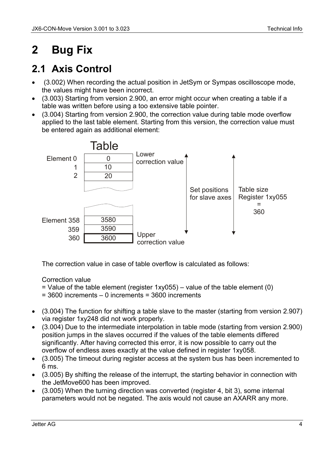# <span id="page-4-0"></span>**2 Bug Fix**

## **2.1 Axis Control**

- (3.002) When recording the actual position in JetSym or Sympas oscilloscope mode, the values might have been incorrect.
- (3.003) Starting from version 2.900, an error might occur when creating a table if a table was written before using a too extensive table pointer.
- (3.004) Starting from version 2.900, the correction value during table mode overflow applied to the last table element. Starting from this version, the correction value must be entered again as additional element:



The correction value in case of table overflow is calculated as follows:

#### Correction value

- $=$  Value of the table element (register 1xy055) value of the table element (0)
- = 3600 increments 0 increments = 3600 increments
- (3.004) The function for shifting a table slave to the master (starting from version 2.907) via register 1xy248 did not work properly.
- (3.004) Due to the intermediate interpolation in table mode (starting from version 2.900) position jumps in the slaves occurred if the values of the table elements differed significantly. After having corrected this error, it is now possible to carry out the overflow of endless axes exactly at the value defined in register 1xy058.
- (3.005) The timeout during register access at the system bus has been incremented to 6 ms.
- (3.005) By shifting the release of the interrupt, the starting behavior in connection with the JetMove600 has been improved.
- (3.005) When the turning direction was converted (register 4, bit 3), some internal parameters would not be negated. The axis would not cause an AXARR any more.